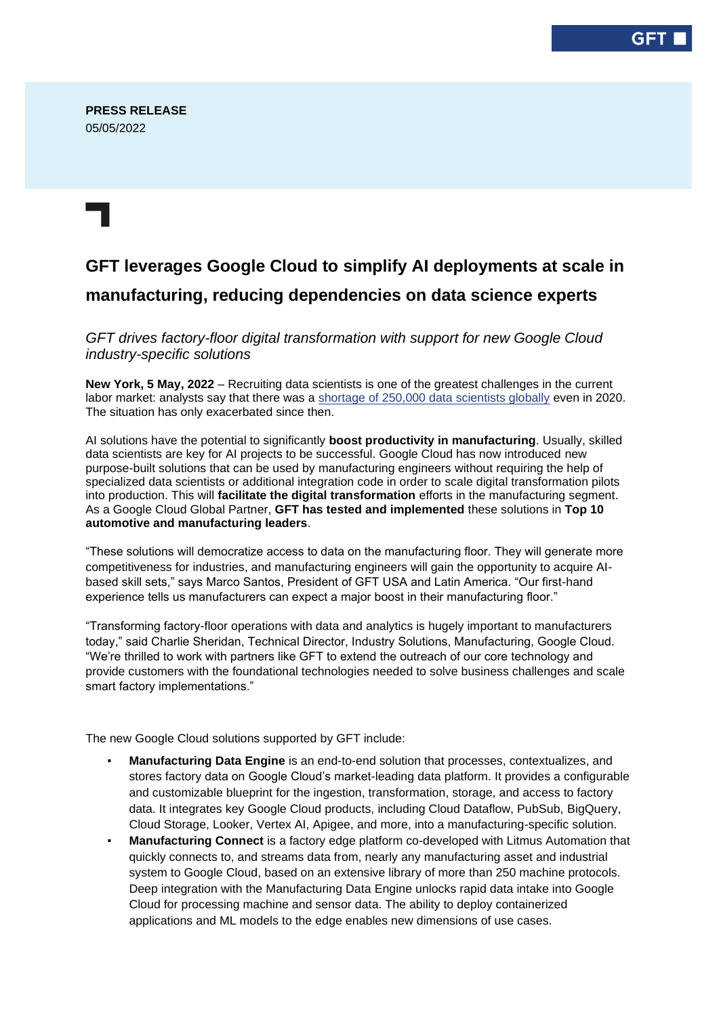## **GFT leverages Google Cloud to simplify AI deployments at scale in manufacturing, reducing dependencies on data science experts**

*GFT drives factory-floor digital transformation with support for new Google Cloud industry-specific solutions*

**New York, 5 May, 2022** – Recruiting data scientists is one of the greatest challenges in the current labor market: analysts say that there was a [shortage of 250,000 data scientists globally](https://quanthub.com/data-scientist-shortage-2020/) even in 2020. The situation has only exacerbated since then.

AI solutions have the potential to significantly **boost productivity in manufacturing**. Usually, skilled data scientists are key for AI projects to be successful. Google Cloud has now introduced new purpose-built solutions that can be used by manufacturing engineers without requiring the help of specialized data scientists or additional integration code in order to scale digital transformation pilots into production. This will **facilitate the digital transformation** efforts in the manufacturing segment. As a Google Cloud Global Partner, **GFT has tested and implemented** these solutions in **Top 10 automotive and manufacturing leaders**.

"These solutions will democratize access to data on the manufacturing floor. They will generate more competitiveness for industries, and manufacturing engineers will gain the opportunity to acquire AIbased skill sets," says Marco Santos, President of GFT USA and Latin America. "Our first-hand experience tells us manufacturers can expect a major boost in their manufacturing floor."

"Transforming factory-floor operations with data and analytics is hugely important to manufacturers today," said Charlie Sheridan, Technical Director, Industry Solutions, Manufacturing, Google Cloud. "We're thrilled to work with partners like GFT to extend the outreach of our core technology and provide customers with the foundational technologies needed to solve business challenges and scale smart factory implementations."

The new Google Cloud solutions supported by GFT include:

- **Manufacturing Data Engine** is an end-to-end solution that processes, contextualizes, and stores factory data on Google Cloud's market-leading data platform. It provides a configurable and customizable blueprint for the ingestion, transformation, storage, and access to factory data. It integrates key Google Cloud products, including Cloud Dataflow, PubSub, BigQuery, Cloud Storage, Looker, Vertex AI, Apigee, and more, into a manufacturing-specific solution.
- **Manufacturing Connect** is a factory edge platform co-developed with Litmus Automation that quickly connects to, and streams data from, nearly any manufacturing asset and industrial system to Google Cloud, based on an extensive library of more than 250 machine protocols. Deep integration with the Manufacturing Data Engine unlocks rapid data intake into Google Cloud for processing machine and sensor data. The ability to deploy containerized applications and ML models to the edge enables new dimensions of use cases.